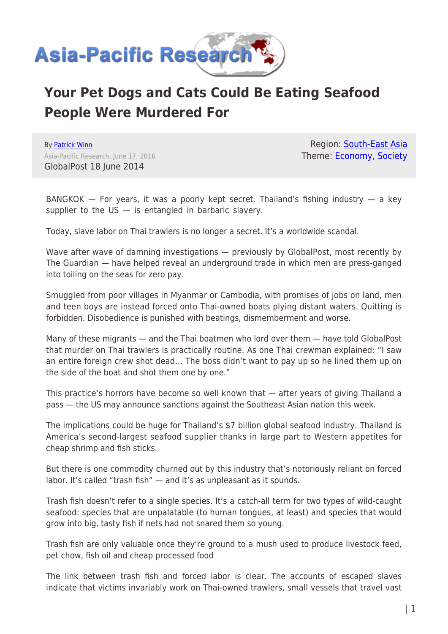

## **Your Pet Dogs and Cats Could Be Eating Seafood People Were Murdered For**

By [Patrick Winn](https://www.asia-pacificresearch.com/author/patrick-winn) Asia-Pacific Research, June 17, 2016 GlobalPost 18 June 2014

Region: [South-East Asia](https://www.asia-pacificresearch.com/region/south-east-asia) Theme: [Economy,](https://www.asia-pacificresearch.com/theme/as-economy) [Society](https://www.asia-pacificresearch.com/theme/society)

BANGKOK  $-$  For years, it was a poorly kept secret. Thailand's fishing industry  $-$  a key supplier to the  $US -$  is entangled in barbaric slavery.

Today, slave labor on Thai trawlers is no longer a secret. It's a worldwide scandal.

Wave after wave of damning investigations — previously by GlobalPost, most recently by The Guardian — have helped reveal an underground trade in which men are press-ganged into toiling on the seas for zero pay.

Smuggled from poor villages in Myanmar or Cambodia, with promises of jobs on land, men and teen boys are instead forced onto Thai-owned boats plying distant waters. Quitting is forbidden. Disobedience is punished with beatings, dismemberment and worse.

Many of these migrants — and the Thai boatmen who lord over them — have told GlobalPost that murder on Thai trawlers is practically routine. As one Thai crewman explained: "I saw an entire foreign crew shot dead… The boss didn't want to pay up so he lined them up on the side of the boat and shot them one by one."

This practice's horrors have become so well known that — after years of giving Thailand a pass — the US may announce sanctions against the Southeast Asian nation this week.

The implications could be huge for Thailand's \$7 billion global seafood industry. Thailand is America's second-largest seafood supplier thanks in large part to Western appetites for cheap shrimp and fish sticks.

But there is one commodity churned out by this industry that's notoriously reliant on forced labor. It's called "trash fish" — and it's as unpleasant as it sounds.

Trash fish doesn't refer to a single species. It's a catch-all term for two types of wild-caught seafood: species that are unpalatable (to human tongues, at least) and species that would grow into big, tasty fish if nets had not snared them so young.

Trash fish are only valuable once they're ground to a mush used to produce livestock feed, pet chow, fish oil and cheap processed food

The link between trash fish and forced labor is clear. The accounts of escaped slaves indicate that victims invariably work on Thai-owned trawlers, small vessels that travel vast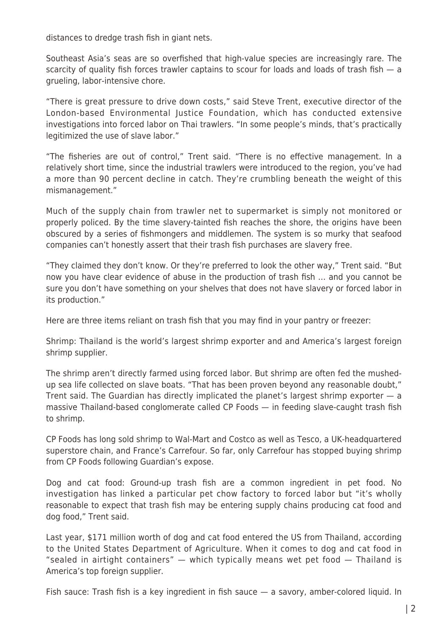distances to dredge trash fish in giant nets.

Southeast Asia's seas are so overfished that high-value species are increasingly rare. The scarcity of quality fish forces trawler captains to scour for loads and loads of trash fish - a grueling, labor-intensive chore.

"There is great pressure to drive down costs," said Steve Trent, executive director of the London-based Environmental Justice Foundation, which has conducted extensive investigations into forced labor on Thai trawlers. "In some people's minds, that's practically legitimized the use of slave labor."

"The fisheries are out of control," Trent said. "There is no effective management. In a relatively short time, since the industrial trawlers were introduced to the region, you've had a more than 90 percent decline in catch. They're crumbling beneath the weight of this mismanagement."

Much of the supply chain from trawler net to supermarket is simply not monitored or properly policed. By the time slavery-tainted fish reaches the shore, the origins have been obscured by a series of fishmongers and middlemen. The system is so murky that seafood companies can't honestly assert that their trash fish purchases are slavery free.

"They claimed they don't know. Or they're preferred to look the other way," Trent said. "But now you have clear evidence of abuse in the production of trash fish … and you cannot be sure you don't have something on your shelves that does not have slavery or forced labor in its production."

Here are three items reliant on trash fish that you may find in your pantry or freezer:

Shrimp: Thailand is the world's largest shrimp exporter and and America's largest foreign shrimp supplier.

The shrimp aren't directly farmed using forced labor. But shrimp are often fed the mushedup sea life collected on slave boats. "That has been proven beyond any reasonable doubt," Trent said. The Guardian has directly implicated the planet's largest shrimp exporter — a massive Thailand-based conglomerate called CP Foods — in feeding slave-caught trash fish to shrimp.

CP Foods has long sold shrimp to Wal-Mart and Costco as well as Tesco, a UK-headquartered superstore chain, and France's Carrefour. So far, only Carrefour has stopped buying shrimp from CP Foods following Guardian's expose.

Dog and cat food: Ground-up trash fish are a common ingredient in pet food. No investigation has linked a particular pet chow factory to forced labor but "it's wholly reasonable to expect that trash fish may be entering supply chains producing cat food and dog food," Trent said.

Last year, \$171 million worth of dog and cat food entered the US from Thailand, according to the United States Department of Agriculture. When it comes to dog and cat food in "sealed in airtight containers" — which typically means wet pet food — Thailand is America's top foreign supplier.

Fish sauce: Trash fish is a key ingredient in fish sauce — a savory, amber-colored liquid. In